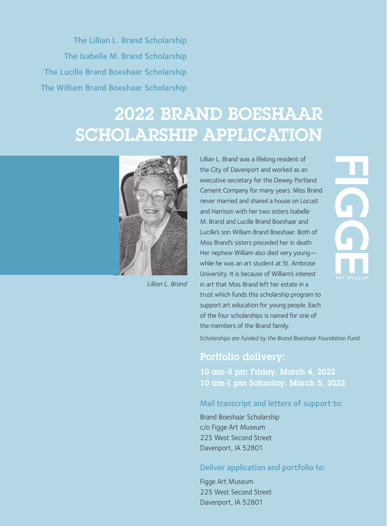The Lillian L. Brand Scholarship The Isabelle M. Brand Scholarship The Lucille Brand Boeshaar Scholarship The William Brand Boeshaar Scholarship

# 2022 BRAND BOESHAAR SCHOLARSHIP APPLICATION



*Lillian L. Brand*

Lillian L. Brand was a lifelong resident of the City of Davenport and worked as an executive secretary for the Dewey Portland Cement Company for many years. Miss Brand never married and shared a house on Locust and Harrison with her two sisters Isabelle M. Brand and Lucille Brand Boeshaar and Lucille's son William Brand Boeshaar. Both of Miss Brand's sisters preceded her in death. Her nephew William also died very young while he was an art student at St. Ambrose University. It is because of William's interest in art that Miss Brand left her estate in a trust which funds this scholarship program to support art education for young people. Each of the four scholarships is named for one of the members of the Brand family.



*Scholarships are funded by the Brand Boeshaar Foundation Fund.* 

### Portfolio delivery:

10 am-5 pm Friday, March 4, 2022 10 am-1 pm Saturday, March 5, 2022

#### Mail transcript and letters of support to:

Brand Boeshaar Scholarship c/o Figge Art Museum 225 West Second Street Davenport, IA 52801

#### Deliver application and portfolio to:

Figge Art Museum 225 West Second Street Davenport, IA 52801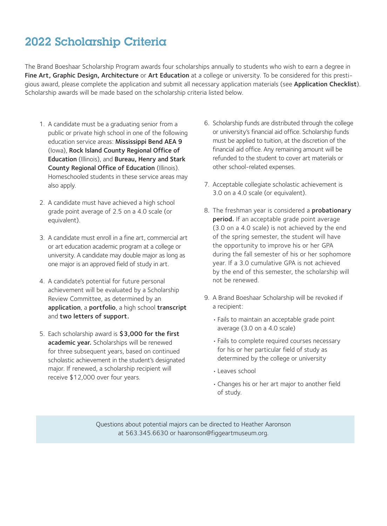# 2022 Scholarship Criteria

The Brand Boeshaar Scholarship Program awards four scholarships annually to students who wish to earn a degree in Fine Art, Graphic Design, Architecture or Art Education at a college or university. To be considered for this prestigious award, please complete the application and submit all necessary application materials (see Application Checklist). Scholarship awards will be made based on the scholarship criteria listed below.

- 1. A candidate must be a graduating senior from a public or private high school in one of the following education service areas: Mississippi Bend AEA 9 (Iowa), Rock Island County Regional Office of Education (Illinois), and Bureau, Henry and Stark County Regional Office of Education (Illinois). Homeschooled students in these service areas may also apply.
- 2. A candidate must have achieved a high school grade point average of 2.5 on a 4.0 scale (or equivalent).
- 3. A candidate must enroll in a fine art, commercial art or art education academic program at a college or university. A candidate may double major as long as one major is an approved field of study in art.
- 4. A candidate's potential for future personal achievement will be evaluated by a Scholarship Review Committee, as determined by an application, a portfolio, a high school transcript and two letters of support.
- 5. Each scholarship award is \$3,000 for the first academic year. Scholarships will be renewed for three subsequent years, based on continued scholastic achievement in the student's designated major. If renewed, a scholarship recipient will receive \$12,000 over four years.
- 6. Scholarship funds are distributed through the college or university's financial aid office. Scholarship funds must be applied to tuition, at the discretion of the financial aid office. Any remaining amount will be refunded to the student to cover art materials or other school-related expenses.
- 7. Acceptable collegiate scholastic achievement is 3.0 on a 4.0 scale (or equivalent).
- 8. The freshman year is considered a **probationary** period. If an acceptable grade point average (3.0 on a 4.0 scale) is not achieved by the end of the spring semester, the student will have the opportunity to improve his or her GPA during the fall semester of his or her sophomore year. If a 3.0 cumulative GPA is not achieved by the end of this semester, the scholarship will not be renewed.
- 9. A Brand Boeshaar Scholarship will be revoked if a recipient:
	- Fails to maintain an acceptable grade point average (3.0 on a 4.0 scale)
	- Fails to complete required courses necessary for his or her particular field of study as determined by the college or university
	- Leaves school
	- Changes his or her art major to another field of study.

Questions about potential majors can be directed to Heather Aaronson at 563.345.6630 or haaronson@figgeartmuseum.org.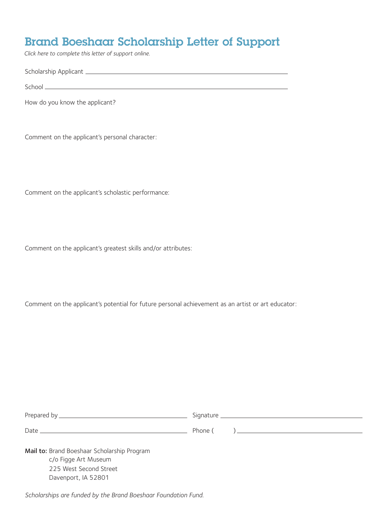### Brand Boeshaar Scholarship Letter of Support

*Click here to complete this letter of support online.*

Scholarship Applicant

School

How do you know the applicant?

Comment on the applicant's personal character:

Comment on the applicant's scholastic performance:

Comment on the applicant's greatest skills and/or attributes:

Comment on the applicant's potential for future personal achievement as an artist or art educator:

| Mail to: Brand Boeshaar Scholarship Program    |  |  |
|------------------------------------------------|--|--|
| c/o Figge Art Museum<br>225 West Second Street |  |  |

*Scholarships are funded by the Brand Boeshaar Foundation Fund.* 

Davenport, IA 52801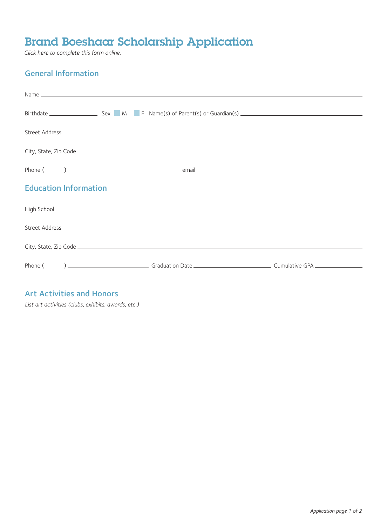# Brand Boeshaar Scholarship Application

*Click here to complete this form online.*

### General Information

| <b>Education Information</b> |  |  |  |
|------------------------------|--|--|--|
|                              |  |  |  |
|                              |  |  |  |
|                              |  |  |  |
|                              |  |  |  |
|                              |  |  |  |

#### Art Activities and Honors

*List art activities (clubs, exhibits, awards, etc.)*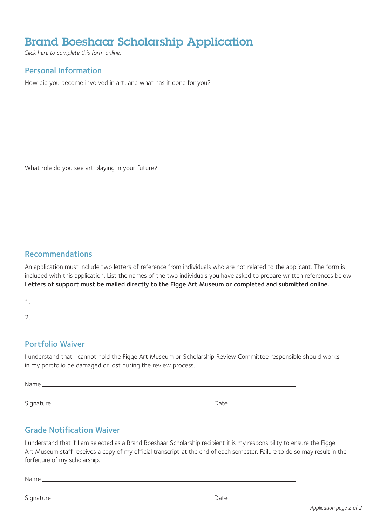## Brand Boeshaar Scholarship Application

*Click here to complete this form online.*

#### Personal Information

How did you become involved in art, and what has it done for you?

What role do you see art playing in your future?

#### Recommendations

An application must include two letters of reference from individuals who are not related to the applicant. The form is included with this application. List the names of the two individuals you have asked to prepare written references below. Letters of support must be mailed directly to the Figge Art Museum or completed and submitted online.

1.

2.

#### Portfolio Waiver

I understand that I cannot hold the Figge Art Museum or Scholarship Review Committee responsible should works in my portfolio be damaged or lost during the review process.

Name when the contract of the contract of the contract of the contract of the contract of the contract of the contract of the contract of the contract of the contract of the contract of the contract of the contract of the Signature Date

### Grade Notification Waiver

I understand that if I am selected as a Brand Boeshaar Scholarship recipient it is my responsibility to ensure the Figge Art Museum staff receives a copy of my official transcript at the end of each semester. Failure to do so may result in the forfeiture of my scholarship.

<u> 1980 - Johann Barn, mars ann an t-A</u>

Name

Signature Date